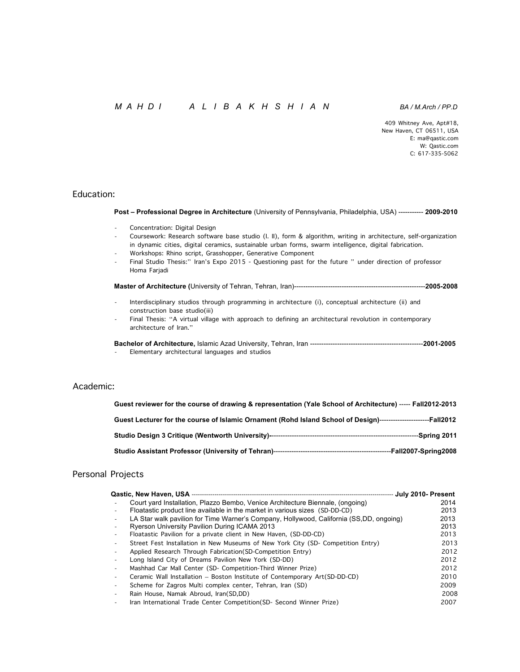# *M A H D I A L I B A K H S H I A N BA / M.Arch / PP.D*

409 Whitney Ave, Apt#18, New Haven, CT 06511, USA E: ma@qastic.com W: Qastic.com 2012 2013 2014 2014 2015 2016 2017 2018 2017 2018 2017 2018 2017 2018 2017 2018 2017 2018 2017 20<br>- W: Qastic.com 2017 2018 2017 2018 2019 2017 2018 2019 2019 2017 2018 2019 2019 2017 2018 2019 2019 2017 201 C: 617-335-5062

### Education:

 **Post – Professional Degree in Architecture** (University of Pennsylvania, Philadelphia, USA) ----------- **2009-2010**

- Concentration: Digital Design
- Coursework: Research software base studio (I. II), form & algorithm, writing in architecture, self-organization in dynamic cities, digital ceramics, sustainable urban forms, swarm intelligence, digital fabrication.
- Workshops: Rhino script, Grasshopper, Generative Component
- Final Studio Thesis:" Iran's Expo 2015 Questioning past for the future " under direction of professor Homa Farjadi

 **Master of Architecture (**University of Tehran, Tehran, Iran)----------------------------------------------------------**2005-2008**

- Interdisciplinary studios through programming in architecture (i), conceptual architecture (ii) and construction base studio(iii)<br>Final Thesis: "A virtual village with approach to defining an architectural revolution in contemporary
- architecture of Iran."

 **Bachelor of Architecture,** Islamic Azad University, Tehran, Iran --------------------------------------------------**2001-2005** - Elementary architectural languages and studios

## Academic:

| Guest reviewer for the course of drawing & representation (Yale School of Architecture) ----- Fall2012-2013       |
|-------------------------------------------------------------------------------------------------------------------|
| Guest Lecturer for the course of Islamic Ornament (Rohd Island School of Design)-------------------------Fall2012 |
|                                                                                                                   |
|                                                                                                                   |

# Personal Projects

|                                                                                         | July 2010- Present |
|-----------------------------------------------------------------------------------------|--------------------|
| Court yard Installation, Plazzo Bembo, Venice Architecture Biennale, (ongoing)          | 2014               |
| Floatastic product line available in the market in various sizes (SD-DD-CD)             | 2013               |
| LA Star walk pavilion for Time Warner's Company, Hollywood, California (SS,DD, ongoing) | 2013               |
| Ryerson University Pavilion During ICAMA 2013                                           | 2013               |
| Floatastic Pavilion for a private client in New Haven, (SD-DD-CD)                       | 2013               |
| Street Fest Installation in New Museums of New York City (SD- Competition Entry)        | 2013               |
| Applied Research Through Fabrication (SD-Competition Entry)                             | 2012               |
| Long Island City of Dreams Pavilion New York (SD-DD)                                    | 2012               |
| Mashhad Car Mall Center (SD- Competition-Third Winner Prize)                            | 2012               |
| Ceramic Wall Installation - Boston Institute of Contemporary Art(SD-DD-CD)              | 2010               |
| Scheme for Zagros Multi complex center, Tehran, Iran (SD)                               | 2009               |
| Rain House, Namak Abroud, Iran(SD,DD)                                                   | 2008               |
| Iran International Trade Center Competition (SD- Second Winner Prize)                   | 2007               |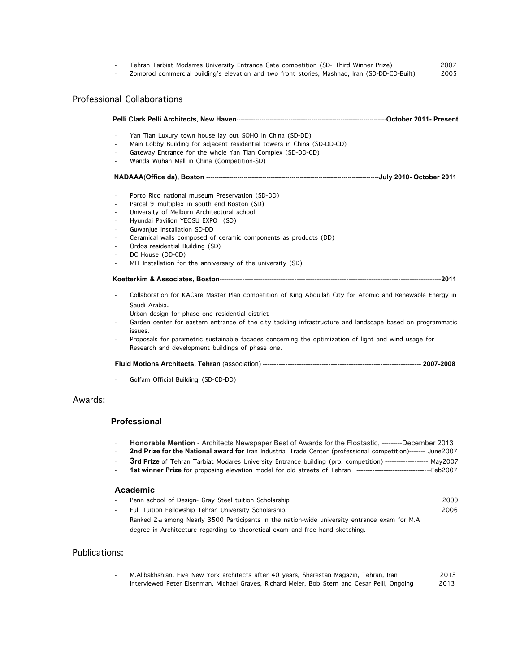| Tehran Tarbiat Modarres University Entrance Gate competition (SD- Third Winner Prize)         | 2007 |
|-----------------------------------------------------------------------------------------------|------|
| Zomorod commercial building's elevation and two front stories, Mashhad, Iran (SD-DD-CD-Built) | 2005 |

# Professional Collaborations

|         | $\overline{\phantom{a}}$ | Yan Tian Luxury town house lay out SOHO in China (SD-DD)                                                                                                                                                           |  |
|---------|--------------------------|--------------------------------------------------------------------------------------------------------------------------------------------------------------------------------------------------------------------|--|
|         | $\overline{\phantom{a}}$ | Main Lobby Building for adjacent residential towers in China (SD-DD-CD)                                                                                                                                            |  |
|         |                          | Gateway Entrance for the whole Yan Tian Complex (SD-DD-CD)                                                                                                                                                         |  |
|         |                          | Wanda Wuhan Mall in China (Competition-SD)                                                                                                                                                                         |  |
|         |                          |                                                                                                                                                                                                                    |  |
|         | ÷,                       | Porto Rico national museum Preservation (SD-DD)                                                                                                                                                                    |  |
|         |                          | Parcel 9 multiplex in south end Boston (SD)                                                                                                                                                                        |  |
|         | $\overline{\phantom{a}}$ | University of Melburn Architectural school                                                                                                                                                                         |  |
|         | ٠                        | Hyundai Pavilion YEOSU EXPO (SD)                                                                                                                                                                                   |  |
|         |                          | Guwanjue installation SD-DD                                                                                                                                                                                        |  |
|         | ٠                        | Ceramical walls composed of ceramic components as products (DD)                                                                                                                                                    |  |
|         |                          | Ordos residential Building (SD)                                                                                                                                                                                    |  |
|         | ÷,                       | DC House (DD-CD)                                                                                                                                                                                                   |  |
|         |                          | MIT Installation for the anniversary of the university (SD)                                                                                                                                                        |  |
|         |                          |                                                                                                                                                                                                                    |  |
|         | $\overline{\phantom{a}}$ | Collaboration for KACare Master Plan competition of King Abdullah City for Atomic and Renewable Energy in                                                                                                          |  |
|         |                          | Saudi Arabia.                                                                                                                                                                                                      |  |
|         |                          | Urban design for phase one residential district                                                                                                                                                                    |  |
|         | ٠                        | Garden center for eastern entrance of the city tackling infrastructure and landscape based on programmatic<br>issues.                                                                                              |  |
|         |                          | Proposals for parametric sustainable facades concerning the optimization of light and wind usage for<br>Research and development buildings of phase one.                                                           |  |
|         |                          |                                                                                                                                                                                                                    |  |
|         |                          | Golfam Official Building (SD-CD-DD)                                                                                                                                                                                |  |
| Awards: |                          |                                                                                                                                                                                                                    |  |
|         |                          | <b>Professional</b>                                                                                                                                                                                                |  |
|         | $\overline{\phantom{a}}$ | Honorable Mention - Architects Newspaper Best of Awards for the Floatastic, ---------December 2013<br>2nd Prize for the National award for Iran Industrial Trade Center (professional competition)------- June2007 |  |
|         |                          | 3rd Prize of Tehran Tarbiat Modares University Entrance building (pro. competition) ------------------ May2007                                                                                                     |  |

- **3rd Prize** of Tehran Tarbiat Modares University Entrance building (pro. competition) ------------------- May2007 - **1st winner Prize** for proposing elevation model for old streets of Tehran ---------------------------------Feb2007

# **Academic**

| Penn school of Design- Gray Steel tuition Scholarship                                                                                                                          | 2009 |
|--------------------------------------------------------------------------------------------------------------------------------------------------------------------------------|------|
| Full Tuition Fellowship Tehran University Scholarship,                                                                                                                         | 2006 |
| Ranked 2nd among Nearly 3500 Participants in the nation-wide university entrance exam for M.A<br>degree in Architecture regarding to theoretical exam and free hand sketching. |      |

| Publications: |                                                                                               |      |
|---------------|-----------------------------------------------------------------------------------------------|------|
| $\sim$        | M.Alibakhshian, Five New York architects after 40 years, Sharestan Magazin, Tehran, Iran      | 2013 |
|               | Interviewed Peter Eisenman, Michael Graves, Richard Meier, Bob Stern and Cesar Pelli, Ongoing | 2013 |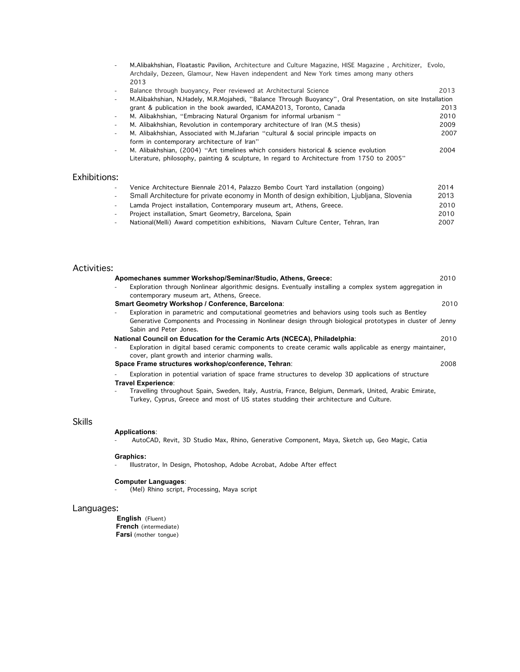|     | M. Alibakhshian, Floatastic Pavilion, Architecture and Culture Magazine, HISE Magazine, Architizer, Evolo,  |      |
|-----|-------------------------------------------------------------------------------------------------------------|------|
|     | Archdaily, Dezeen, Glamour, New Haven independent and New York times among many others                      |      |
|     | 2013                                                                                                        |      |
|     | Balance through buoyancy, Peer reviewed at Architectural Science                                            | 2013 |
|     | M.Alibakhshian, N.Hadely, M.R.Mojahedi, "Balance Through Buoyancy", Oral Presentation, on site Installation |      |
|     | grant & publication in the book awarded, ICAMA2013, Toronto, Canada                                         | 2013 |
|     | M. Alibakhshian, "Embracing Natural Organism for informal urbanism"                                         | 2010 |
|     | M. Alibakhshian, Revolution in contemporary architecture of Iran (M.S thesis)                               | 2009 |
| ۰   | M. Alibakhshian, Associated with M.Jafarian "cultural & social principle impacts on                         | 2007 |
|     | form in contemporary architecture of Iran"                                                                  |      |
|     | M. Alibakhshian, (2004) "Art timelines which considers historical & science evolution                       | 2004 |
|     | Literature, philosophy, painting & sculpture, In regard to Architecture from 1750 to 2005"                  |      |
|     |                                                                                                             |      |
| nc. |                                                                                                             |      |

| Exhibitions:             |                                                                                           |      |
|--------------------------|-------------------------------------------------------------------------------------------|------|
|                          | Venice Architecture Biennale 2014, Palazzo Bembo Court Yard installation (ongoing)        | 2014 |
| ۰                        | Small Architecture for private economy in Month of design exhibition, Ljubljana, Slovenia | 2013 |
|                          | Lamda Project installation, Contemporary museum art, Athens, Greece.                      | 2010 |
| $\overline{\phantom{a}}$ | Project installation, Smart Geometry, Barcelona, Spain                                    | 2010 |
|                          | National (Melli) Award competition exhibitions, Niavarn Culture Center, Tehran, Iran      | 2007 |

|  | <b>Activities:</b> |
|--|--------------------|
|  |                    |

| Activities: |                                                                                                                                                                                                 |      |
|-------------|-------------------------------------------------------------------------------------------------------------------------------------------------------------------------------------------------|------|
|             | Apomechanes summer Workshop/Seminar/Studio, Athens, Greece:                                                                                                                                     | 2010 |
|             | Exploration through Nonlinear algorithmic designs. Eventually installing a complex system aggregation in<br>contemporary museum art, Athens, Greece.                                            |      |
|             | Smart Geometry Workshop / Conference, Barcelona:                                                                                                                                                | 2010 |
|             | Exploration in parametric and computational geometries and behaviors using tools such as Bentley                                                                                                |      |
|             | Generative Components and Processing in Nonlinear design through biological prototypes in cluster of Jenny<br>Sabin and Peter Jones.                                                            |      |
|             | National Council on Education for the Ceramic Arts (NCECA), Philadelphia:                                                                                                                       | 2010 |
|             | Exploration in digital based ceramic components to create ceramic walls applicable as energy maintainer,<br>cover, plant growth and interior charming walls.                                    |      |
|             | Space Frame structures workshop/conference, Tehran:                                                                                                                                             | 2008 |
|             | Exploration in potential variation of space frame structures to develop 3D applications of structure<br>Travel Experience:                                                                      |      |
|             | Travelling throughout Spain, Sweden, Italy, Austria, France, Belgium, Denmark, United, Arabic Emirate,<br>Turkey, Cyprus, Greece and most of US states studding their architecture and Culture. |      |
| Skills      |                                                                                                                                                                                                 |      |

# Skills

#### **Applications**:

- AutoCAD, Revit, 3D Studio Max, Rhino, Generative Component, Maya, Sketch up, Geo Magic, Catia

#### **Graphics:**

- Illustrator, In Design, Photoshop, Adobe Acrobat, Adobe After effect

#### **Computer Languages**:

- (Mel) Rhino script, Processing, Maya script

# Languages:

**English** (Fluent)  **French** (intermediate) **Farsi** (mother tongue)